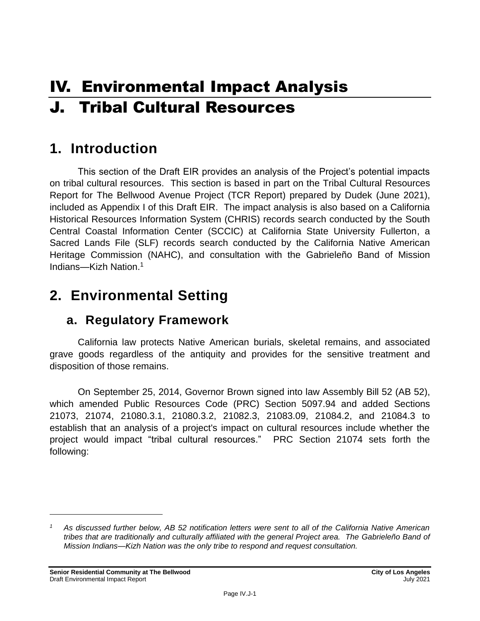# IV. Environmental Impact Analysis J. Tribal Cultural Resources

# **1. Introduction**

This section of the Draft EIR provides an analysis of the Project's potential impacts on tribal cultural resources. This section is based in part on the Tribal Cultural Resources Report for The Bellwood Avenue Project (TCR Report) prepared by Dudek (June 2021), included as Appendix I of this Draft EIR. The impact analysis is also based on a California Historical Resources Information System (CHRIS) records search conducted by the South Central Coastal Information Center (SCCIC) at California State University Fullerton, a Sacred Lands File (SLF) records search conducted by the California Native American Heritage Commission (NAHC), and consultation with the Gabrieleño Band of Mission Indians—Kizh Nation.<sup>1</sup>

# **2. Environmental Setting**

## **a. Regulatory Framework**

California law protects Native American burials, skeletal remains, and associated grave goods regardless of the antiquity and provides for the sensitive treatment and disposition of those remains.

On September 25, 2014, Governor Brown signed into law Assembly Bill 52 (AB 52), which amended Public Resources Code (PRC) Section 5097.94 and added Sections 21073, 21074, 21080.3.1, 21080.3.2, 21082.3, 21083.09, 21084.2, and 21084.3 to establish that an analysis of a project's impact on cultural resources include whether the project would impact "tribal cultural resources." PRC Section 21074 sets forth the following:

*<sup>1</sup> As discussed further below, AB 52 notification letters were sent to all of the California Native American tribes that are traditionally and culturally affiliated with the general Project area. The Gabrieleño Band of Mission Indians—Kizh Nation was the only tribe to respond and request consultation.*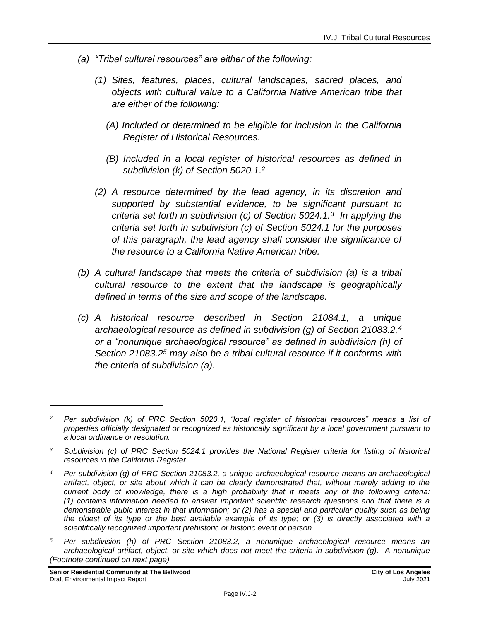- *(a) "Tribal cultural resources" are either of the following:*
	- *(1) Sites, features, places, cultural landscapes, sacred places, and objects with cultural value to a California Native American tribe that are either of the following:*
		- *(A) Included or determined to be eligible for inclusion in the California Register of Historical Resources.*
		- *(B) Included in a local register of historical resources as defined in subdivision (k) of Section 5020.1. 2*
	- *(2) A resource determined by the lead agency, in its discretion and supported by substantial evidence, to be significant pursuant to criteria set forth in subdivision (c) of Section 5024.1.<sup>3</sup> In applying the criteria set forth in subdivision (c) of Section 5024.1 for the purposes of this paragraph, the lead agency shall consider the significance of the resource to a California Native American tribe.*
- *(b) A cultural landscape that meets the criteria of subdivision (a) is a tribal cultural resource to the extent that the landscape is geographically defined in terms of the size and scope of the landscape.*
- *(c) A historical resource described in Section 21084.1, a unique archaeological resource as defined in subdivision (g) of Section 21083.2,<sup>4</sup> or a "nonunique archaeological resource" as defined in subdivision (h) of Section 21083.2<sup>5</sup> may also be a tribal cultural resource if it conforms with the criteria of subdivision (a).*

*<sup>5</sup> Per subdivision (h) of PRC Section 21083.2, a nonunique archaeological resource means an archaeological artifact, object, or site which does not meet the criteria in subdivision (g). A nonunique (Footnote continued on next page)*

*<sup>2</sup> Per subdivision (k) of PRC Section 5020.1, "local register of historical resources" means a list of properties officially designated or recognized as historically significant by a local government pursuant to a local ordinance or resolution.*

*<sup>3</sup> Subdivision (c) of PRC Section 5024.1 provides the National Register criteria for listing of historical resources in the California Register.*

*<sup>4</sup> Per subdivision (g) of PRC Section 21083.2, a unique archaeological resource means an archaeological artifact, object, or site about which it can be clearly demonstrated that, without merely adding to the current body of knowledge, there is a high probability that it meets any of the following criteria: (1) contains information needed to answer important scientific research questions and that there is a demonstrable pubic interest in that information; or (2) has a special and particular quality such as being the oldest of its type or the best available example of its type; or (3) is directly associated with a scientifically recognized important prehistoric or historic event or person.*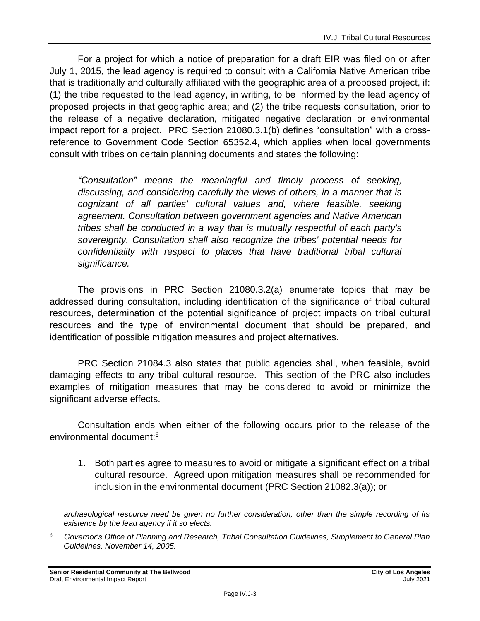For a project for which a notice of preparation for a draft EIR was filed on or after July 1, 2015, the lead agency is required to consult with a California Native American tribe that is traditionally and culturally affiliated with the geographic area of a proposed project, if: (1) the tribe requested to the lead agency, in writing, to be informed by the lead agency of proposed projects in that geographic area; and (2) the tribe requests consultation, prior to the release of a negative declaration, mitigated negative declaration or environmental impact report for a project. PRC Section 21080.3.1(b) defines "consultation" with a crossreference to Government Code Section 65352.4, which applies when local governments consult with tribes on certain planning documents and states the following:

*"Consultation" means the meaningful and timely process of seeking, discussing, and considering carefully the views of others, in a manner that is cognizant of all parties' cultural values and, where feasible, seeking agreement. Consultation between government agencies and Native American tribes shall be conducted in a way that is mutually respectful of each party's sovereignty. Consultation shall also recognize the tribes' potential needs for confidentiality with respect to places that have traditional tribal cultural significance.*

The provisions in PRC Section 21080.3.2(a) enumerate topics that may be addressed during consultation, including identification of the significance of tribal cultural resources, determination of the potential significance of project impacts on tribal cultural resources and the type of environmental document that should be prepared, and identification of possible mitigation measures and project alternatives.

PRC Section 21084.3 also states that public agencies shall, when feasible, avoid damaging effects to any tribal cultural resource. This section of the PRC also includes examples of mitigation measures that may be considered to avoid or minimize the significant adverse effects.

Consultation ends when either of the following occurs prior to the release of the environmental document:<sup>6</sup>

1. Both parties agree to measures to avoid or mitigate a significant effect on a tribal cultural resource. Agreed upon mitigation measures shall be recommended for inclusion in the environmental document (PRC Section 21082.3(a)); or

*archaeological resource need be given no further consideration, other than the simple recording of its existence by the lead agency if it so elects.*

*<sup>6</sup> Governor's Office of Planning and Research, Tribal Consultation Guidelines, Supplement to General Plan Guidelines, November 14, 2005.*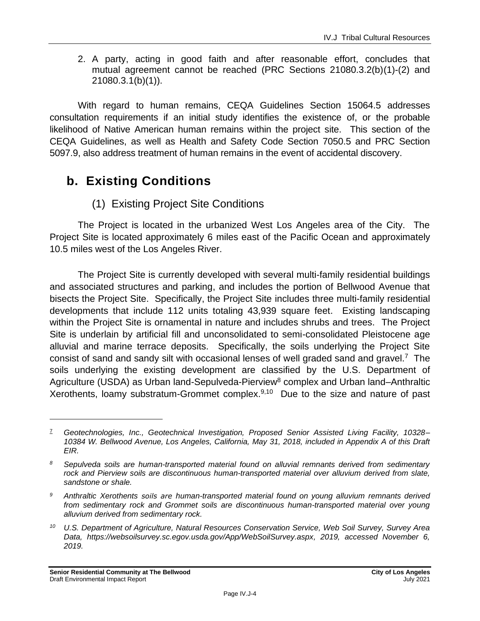2. A party, acting in good faith and after reasonable effort, concludes that mutual agreement cannot be reached (PRC Sections 21080.3.2(b)(1)-(2) and 21080.3.1(b)(1)).

With regard to human remains, CEQA Guidelines Section 15064.5 addresses consultation requirements if an initial study identifies the existence of, or the probable likelihood of Native American human remains within the project site. This section of the CEQA Guidelines, as well as Health and Safety Code Section 7050.5 and PRC Section 5097.9, also address treatment of human remains in the event of accidental discovery.

# **b. Existing Conditions**

## (1) Existing Project Site Conditions

The Project is located in the urbanized West Los Angeles area of the City. The Project Site is located approximately 6 miles east of the Pacific Ocean and approximately 10.5 miles west of the Los Angeles River.

The Project Site is currently developed with several multi-family residential buildings and associated structures and parking, and includes the portion of Bellwood Avenue that bisects the Project Site. Specifically, the Project Site includes three multi-family residential developments that include 112 units totaling 43,939 square feet. Existing landscaping within the Project Site is ornamental in nature and includes shrubs and trees. The Project Site is underlain by artificial fill and unconsolidated to semi-consolidated Pleistocene age alluvial and marine terrace deposits. Specifically, the soils underlying the Project Site consist of sand and sandy silt with occasional lenses of well graded sand and gravel.<sup>7</sup> The soils underlying the existing development are classified by the U.S. Department of Agriculture (USDA) as Urban land-Sepulveda-Pierview<sup>8</sup> complex and Urban land–Anthraltic Xerothents, loamy substratum-Grommet complex. $9,10$  Due to the size and nature of past

<sup>7</sup> *Geotechnologies, Inc., Geotechnical Investigation, Proposed Senior Assisted Living Facility, 10328– 10384 W. Bellwood Avenue, Los Angeles, California, May 31, 2018, included in Appendix A of this Draft EIR.*

*<sup>8</sup> Sepulveda soils are human-transported material found on alluvial remnants derived from sedimentary rock and Pierview soils are discontinuous human-transported material over alluvium derived from slate, sandstone or shale.*

*<sup>9</sup> Anthraltic Xerothents soils are human-transported material found on young alluvium remnants derived from sedimentary rock and Grommet soils are discontinuous human-transported material over young alluvium derived from sedimentary rock.*

*<sup>10</sup> U.S. Department of Agriculture, Natural Resources Conservation Service, Web Soil Survey, Survey Area Data, https://websoilsurvey.sc.egov.usda.gov/App/WebSoilSurvey.aspx, 2019, accessed November 6, 2019.*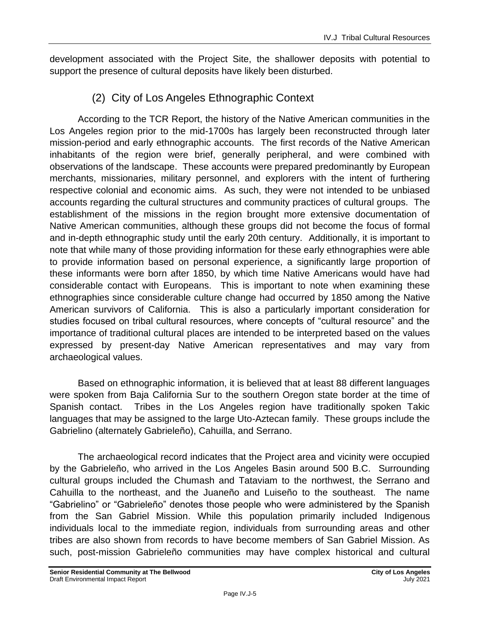development associated with the Project Site, the shallower deposits with potential to support the presence of cultural deposits have likely been disturbed.

## (2) City of Los Angeles Ethnographic Context

According to the TCR Report, the history of the Native American communities in the Los Angeles region prior to the mid-1700s has largely been reconstructed through later mission-period and early ethnographic accounts. The first records of the Native American inhabitants of the region were brief, generally peripheral, and were combined with observations of the landscape. These accounts were prepared predominantly by European merchants, missionaries, military personnel, and explorers with the intent of furthering respective colonial and economic aims. As such, they were not intended to be unbiased accounts regarding the cultural structures and community practices of cultural groups. The establishment of the missions in the region brought more extensive documentation of Native American communities, although these groups did not become the focus of formal and in-depth ethnographic study until the early 20th century. Additionally, it is important to note that while many of those providing information for these early ethnographies were able to provide information based on personal experience, a significantly large proportion of these informants were born after 1850, by which time Native Americans would have had considerable contact with Europeans. This is important to note when examining these ethnographies since considerable culture change had occurred by 1850 among the Native American survivors of California. This is also a particularly important consideration for studies focused on tribal cultural resources, where concepts of "cultural resource" and the importance of traditional cultural places are intended to be interpreted based on the values expressed by present-day Native American representatives and may vary from archaeological values.

Based on ethnographic information, it is believed that at least 88 different languages were spoken from Baja California Sur to the southern Oregon state border at the time of Spanish contact. Tribes in the Los Angeles region have traditionally spoken Takic languages that may be assigned to the large Uto-Aztecan family. These groups include the Gabrielino (alternately Gabrieleño), Cahuilla, and Serrano.

The archaeological record indicates that the Project area and vicinity were occupied by the Gabrieleño, who arrived in the Los Angeles Basin around 500 B.C. Surrounding cultural groups included the Chumash and Tataviam to the northwest, the Serrano and Cahuilla to the northeast, and the Juaneño and Luiseño to the southeast. The name "Gabrielino" or "Gabrieleño" denotes those people who were administered by the Spanish from the San Gabriel Mission. While this population primarily included Indigenous individuals local to the immediate region, individuals from surrounding areas and other tribes are also shown from records to have become members of San Gabriel Mission. As such, post-mission Gabrieleño communities may have complex historical and cultural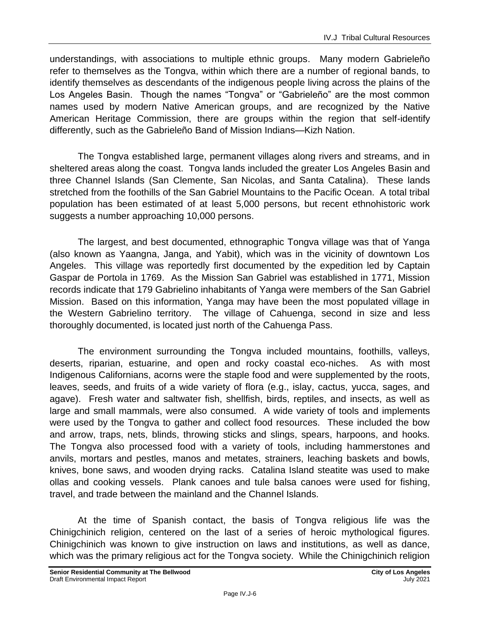understandings, with associations to multiple ethnic groups. Many modern Gabrieleño refer to themselves as the Tongva, within which there are a number of regional bands, to identify themselves as descendants of the indigenous people living across the plains of the Los Angeles Basin. Though the names "Tongva" or "Gabrieleño" are the most common names used by modern Native American groups, and are recognized by the Native American Heritage Commission, there are groups within the region that self-identify differently, such as the Gabrieleño Band of Mission Indians—Kizh Nation.

The Tongva established large, permanent villages along rivers and streams, and in sheltered areas along the coast. Tongva lands included the greater Los Angeles Basin and three Channel Islands (San Clemente, San Nicolas, and Santa Catalina). These lands stretched from the foothills of the San Gabriel Mountains to the Pacific Ocean. A total tribal population has been estimated of at least 5,000 persons, but recent ethnohistoric work suggests a number approaching 10,000 persons.

The largest, and best documented, ethnographic Tongva village was that of Yanga (also known as Yaangna, Janga, and Yabit), which was in the vicinity of downtown Los Angeles. This village was reportedly first documented by the expedition led by Captain Gaspar de Portola in 1769. As the Mission San Gabriel was established in 1771, Mission records indicate that 179 Gabrielino inhabitants of Yanga were members of the San Gabriel Mission. Based on this information, Yanga may have been the most populated village in the Western Gabrielino territory. The village of Cahuenga, second in size and less thoroughly documented, is located just north of the Cahuenga Pass.

The environment surrounding the Tongva included mountains, foothills, valleys, deserts, riparian, estuarine, and open and rocky coastal eco-niches. As with most Indigenous Californians, acorns were the staple food and were supplemented by the roots, leaves, seeds, and fruits of a wide variety of flora (e.g., islay, cactus, yucca, sages, and agave). Fresh water and saltwater fish, shellfish, birds, reptiles, and insects, as well as large and small mammals, were also consumed. A wide variety of tools and implements were used by the Tongva to gather and collect food resources. These included the bow and arrow, traps, nets, blinds, throwing sticks and slings, spears, harpoons, and hooks. The Tongva also processed food with a variety of tools, including hammerstones and anvils, mortars and pestles, manos and metates, strainers, leaching baskets and bowls, knives, bone saws, and wooden drying racks. Catalina Island steatite was used to make ollas and cooking vessels. Plank canoes and tule balsa canoes were used for fishing, travel, and trade between the mainland and the Channel Islands.

At the time of Spanish contact, the basis of Tongva religious life was the Chinigchinich religion, centered on the last of a series of heroic mythological figures. Chinigchinich was known to give instruction on laws and institutions, as well as dance, which was the primary religious act for the Tongva society. While the Chinigchinich religion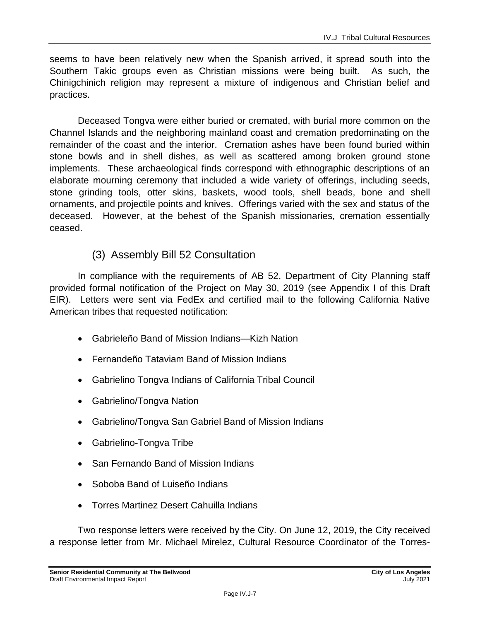seems to have been relatively new when the Spanish arrived, it spread south into the Southern Takic groups even as Christian missions were being built. As such, the Chinigchinich religion may represent a mixture of indigenous and Christian belief and practices.

Deceased Tongva were either buried or cremated, with burial more common on the Channel Islands and the neighboring mainland coast and cremation predominating on the remainder of the coast and the interior. Cremation ashes have been found buried within stone bowls and in shell dishes, as well as scattered among broken ground stone implements. These archaeological finds correspond with ethnographic descriptions of an elaborate mourning ceremony that included a wide variety of offerings, including seeds, stone grinding tools, otter skins, baskets, wood tools, shell beads, bone and shell ornaments, and projectile points and knives. Offerings varied with the sex and status of the deceased. However, at the behest of the Spanish missionaries, cremation essentially ceased.

### (3) Assembly Bill 52 Consultation

In compliance with the requirements of AB 52, Department of City Planning staff provided formal notification of the Project on May 30, 2019 (see Appendix I of this Draft EIR). Letters were sent via FedEx and certified mail to the following California Native American tribes that requested notification:

- Gabrieleño Band of Mission Indians—Kizh Nation
- Fernandeño Tataviam Band of Mission Indians
- Gabrielino Tongva Indians of California Tribal Council
- Gabrielino/Tongva Nation
- Gabrielino/Tongva San Gabriel Band of Mission Indians
- Gabrielino-Tongva Tribe
- San Fernando Band of Mission Indians
- Soboba Band of Luiseño Indians
- Torres Martinez Desert Cahuilla Indians

Two response letters were received by the City. On June 12, 2019, the City received a response letter from Mr. Michael Mirelez, Cultural Resource Coordinator of the Torres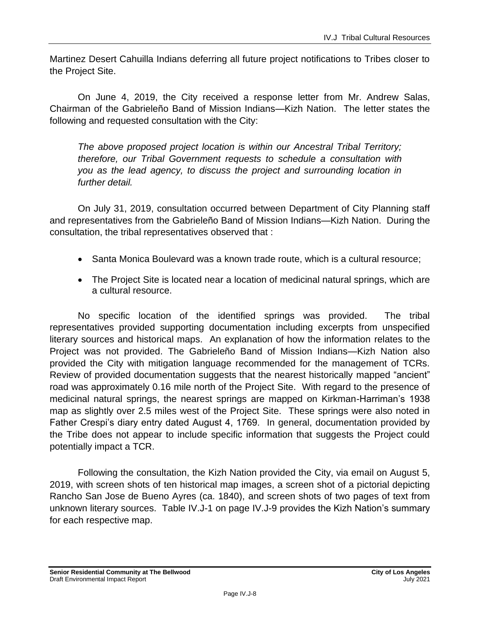Martinez Desert Cahuilla Indians deferring all future project notifications to Tribes closer to the Project Site.

On June 4, 2019, the City received a response letter from Mr. Andrew Salas, Chairman of the Gabrieleño Band of Mission Indians—Kizh Nation. The letter states the following and requested consultation with the City:

*The above proposed project location is within our Ancestral Tribal Territory; therefore, our Tribal Government requests to schedule a consultation with you as the lead agency, to discuss the project and surrounding location in further detail.*

On July 31, 2019, consultation occurred between Department of City Planning staff and representatives from the Gabrieleño Band of Mission Indians—Kizh Nation. During the consultation, the tribal representatives observed that :

- Santa Monica Boulevard was a known trade route, which is a cultural resource;
- The Project Site is located near a location of medicinal natural springs, which are a cultural resource.

No specific location of the identified springs was provided. The tribal representatives provided supporting documentation including excerpts from unspecified literary sources and historical maps. An explanation of how the information relates to the Project was not provided. The Gabrieleño Band of Mission Indians—Kizh Nation also provided the City with mitigation language recommended for the management of TCRs. Review of provided documentation suggests that the nearest historically mapped "ancient" road was approximately 0.16 mile north of the Project Site. With regard to the presence of medicinal natural springs, the nearest springs are mapped on Kirkman-Harriman's 1938 map as slightly over 2.5 miles west of the Project Site. These springs were also noted in Father Crespi's diary entry dated August 4, 1769. In general, documentation provided by the Tribe does not appear to include specific information that suggests the Project could potentially impact a TCR.

Following the consultation, the Kizh Nation provided the City, via email on August 5, 2019, with screen shots of ten historical map images, a screen shot of a pictorial depicting Rancho San Jose de Bueno Ayres (ca. 1840), and screen shots of two pages of text from unknown literary sources. Table IV.J-1 on page IV.J-9 provides the Kizh Nation's summary for each respective map.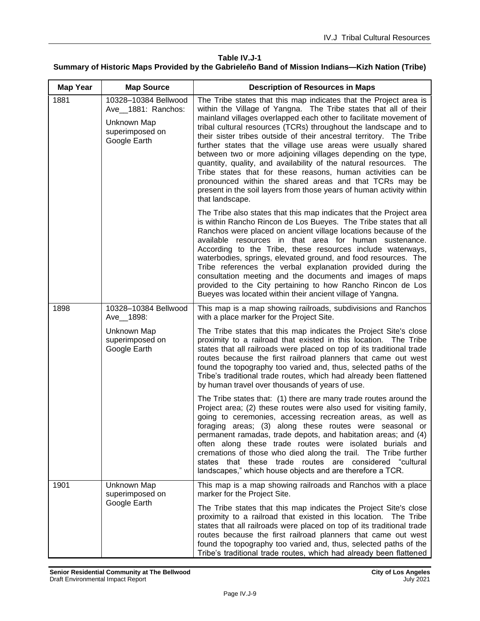#### **Table IV.J-1 Summary of Historic Maps Provided by the Gabrieleño Band of Mission Indians—Kizh Nation (Tribe)**

| <b>Map Year</b> | <b>Map Source</b>                                                                            | <b>Description of Resources in Maps</b>                                                                                                                                                                                                                                                                                                                                                                                                                                                                                                                                                                                                                                                                                                                                            |
|-----------------|----------------------------------------------------------------------------------------------|------------------------------------------------------------------------------------------------------------------------------------------------------------------------------------------------------------------------------------------------------------------------------------------------------------------------------------------------------------------------------------------------------------------------------------------------------------------------------------------------------------------------------------------------------------------------------------------------------------------------------------------------------------------------------------------------------------------------------------------------------------------------------------|
| 1881            | 10328-10384 Bellwood<br>Ave_1881: Ranchos:<br>Unknown Map<br>superimposed on<br>Google Earth | The Tribe states that this map indicates that the Project area is<br>within the Village of Yangna. The Tribe states that all of their<br>mainland villages overlapped each other to facilitate movement of<br>tribal cultural resources (TCRs) throughout the landscape and to<br>their sister tribes outside of their ancestral territory. The Tribe<br>further states that the village use areas were usually shared<br>between two or more adjoining villages depending on the type,<br>quantity, quality, and availability of the natural resources. The<br>Tribe states that for these reasons, human activities can be<br>pronounced within the shared areas and that TCRs may be<br>present in the soil layers from those years of human activity within<br>that landscape. |
|                 |                                                                                              | The Tribe also states that this map indicates that the Project area<br>is within Rancho Rincon de Los Bueyes. The Tribe states that all<br>Ranchos were placed on ancient village locations because of the<br>available resources in that area for human sustenance.<br>According to the Tribe, these resources include waterways,<br>waterbodies, springs, elevated ground, and food resources. The<br>Tribe references the verbal explanation provided during the<br>consultation meeting and the documents and images of maps<br>provided to the City pertaining to how Rancho Rincon de Los<br>Bueyes was located within their ancient village of Yangna.                                                                                                                      |
| 1898            | 10328-10384 Bellwood<br>Ave_1898:                                                            | This map is a map showing railroads, subdivisions and Ranchos<br>with a place marker for the Project Site.                                                                                                                                                                                                                                                                                                                                                                                                                                                                                                                                                                                                                                                                         |
|                 | Unknown Map<br>superimposed on<br>Google Earth                                               | The Tribe states that this map indicates the Project Site's close<br>proximity to a railroad that existed in this location. The Tribe<br>states that all railroads were placed on top of its traditional trade<br>routes because the first railroad planners that came out west<br>found the topography too varied and, thus, selected paths of the<br>Tribe's traditional trade routes, which had already been flattened<br>by human travel over thousands of years of use.                                                                                                                                                                                                                                                                                                       |
|                 |                                                                                              | The Tribe states that: (1) there are many trade routes around the<br>Project area; (2) these routes were also used for visiting family,<br>going to ceremonies, accessing recreation areas, as well as<br>foraging areas; (3) along these routes were seasonal or<br>permanent ramadas, trade depots, and habitation areas; and (4)<br>often along these trade routes were isolated burials and<br>cremations of those who died along the trail. The Tribe further<br>states that these trade routes are considered "cultural<br>landscapes," which house objects and are therefore a TCR.                                                                                                                                                                                         |
| 1901            | Unknown Map<br>superimposed on<br>Google Earth                                               | This map is a map showing railroads and Ranchos with a place<br>marker for the Project Site.                                                                                                                                                                                                                                                                                                                                                                                                                                                                                                                                                                                                                                                                                       |
|                 |                                                                                              | The Tribe states that this map indicates the Project Site's close<br>proximity to a railroad that existed in this location. The Tribe<br>states that all railroads were placed on top of its traditional trade<br>routes because the first railroad planners that came out west<br>found the topography too varied and, thus, selected paths of the<br>Tribe's traditional trade routes, which had already been flattened                                                                                                                                                                                                                                                                                                                                                          |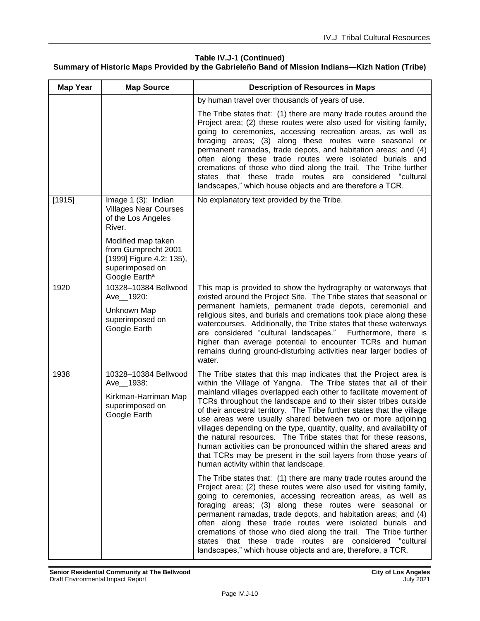#### **Table IV.J-1 (Continued)**

#### **Summary of Historic Maps Provided by the Gabrieleño Band of Mission Indians—Kizh Nation (Tribe)**

| <b>Map Year</b> | <b>Map Source</b>                                                                                                                                                                                            | <b>Description of Resources in Maps</b>                                                                                                                                                                                                                                                                                                                                                                                                                                                                                                                                                                                                                                                                                                             |
|-----------------|--------------------------------------------------------------------------------------------------------------------------------------------------------------------------------------------------------------|-----------------------------------------------------------------------------------------------------------------------------------------------------------------------------------------------------------------------------------------------------------------------------------------------------------------------------------------------------------------------------------------------------------------------------------------------------------------------------------------------------------------------------------------------------------------------------------------------------------------------------------------------------------------------------------------------------------------------------------------------------|
|                 |                                                                                                                                                                                                              | by human travel over thousands of years of use.                                                                                                                                                                                                                                                                                                                                                                                                                                                                                                                                                                                                                                                                                                     |
|                 |                                                                                                                                                                                                              | The Tribe states that: (1) there are many trade routes around the<br>Project area; (2) these routes were also used for visiting family,<br>going to ceremonies, accessing recreation areas, as well as<br>foraging areas; (3) along these routes were seasonal or<br>permanent ramadas, trade depots, and habitation areas; and (4)<br>often along these trade routes were isolated burials and<br>cremations of those who died along the trail. The Tribe further<br>states that these trade routes are considered "cultural<br>landscapes," which house objects and are therefore a TCR.                                                                                                                                                          |
| [1915]          | Image 1 (3): Indian<br><b>Villages Near Courses</b><br>of the Los Angeles<br>River.<br>Modified map taken<br>from Gumprecht 2001<br>[1999] Figure 4.2: 135),<br>superimposed on<br>Google Earth <sup>a</sup> | No explanatory text provided by the Tribe.                                                                                                                                                                                                                                                                                                                                                                                                                                                                                                                                                                                                                                                                                                          |
| 1920            | 10328-10384 Bellwood<br>Ave_1920:<br>Unknown Map<br>superimposed on<br>Google Earth                                                                                                                          | This map is provided to show the hydrography or waterways that<br>existed around the Project Site. The Tribe states that seasonal or<br>permanent hamlets, permanent trade depots, ceremonial and<br>religious sites, and burials and cremations took place along these<br>watercourses. Additionally, the Tribe states that these waterways<br>are considered "cultural landscapes."<br>Furthermore, there is<br>higher than average potential to encounter TCRs and human<br>remains during ground-disturbing activities near larger bodies of<br>water.                                                                                                                                                                                          |
| 1938            | 10328-10384 Bellwood<br>Ave_1938:<br>Kirkman-Harriman Map<br>superimposed on<br>Google Earth                                                                                                                 | The Tribe states that this map indicates that the Project area is<br>within the Village of Yangna. The Tribe states that all of their<br>mainland villages overlapped each other to facilitate movement of<br>TCRs throughout the landscape and to their sister tribes outside<br>of their ancestral territory. The Tribe further states that the village<br>use areas were usually shared between two or more adjoining<br>villages depending on the type, quantity, quality, and availability of<br>the natural resources. The Tribe states that for these reasons,<br>human activities can be pronounced within the shared areas and<br>that TCRs may be present in the soil layers from those years of<br>human activity within that landscape. |
|                 |                                                                                                                                                                                                              | The Tribe states that: (1) there are many trade routes around the<br>Project area; (2) these routes were also used for visiting family,<br>going to ceremonies, accessing recreation areas, as well as<br>foraging areas; (3) along these routes were seasonal or<br>permanent ramadas, trade depots, and habitation areas; and (4)<br>often along these trade routes were isolated burials and<br>cremations of those who died along the trail. The Tribe further<br>states that these trade routes are considered "cultural<br>landscapes," which house objects and are, therefore, a TCR.                                                                                                                                                        |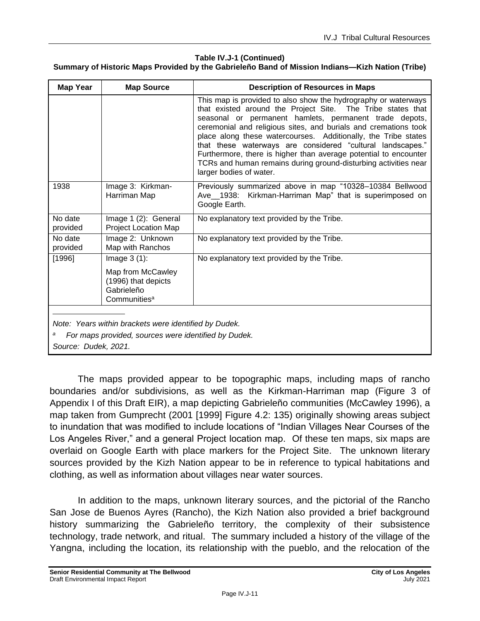#### **Table IV.J-1 (Continued)**

#### **Summary of Historic Maps Provided by the Gabrieleño Band of Mission Indians—Kizh Nation (Tribe)**

| <b>Map Year</b>                                                                                                                                           | <b>Map Source</b>                                                                                    | <b>Description of Resources in Maps</b>                                                                                                                                                                                                                                                                                                                                                                                                                                                                                                                      |  |
|-----------------------------------------------------------------------------------------------------------------------------------------------------------|------------------------------------------------------------------------------------------------------|--------------------------------------------------------------------------------------------------------------------------------------------------------------------------------------------------------------------------------------------------------------------------------------------------------------------------------------------------------------------------------------------------------------------------------------------------------------------------------------------------------------------------------------------------------------|--|
|                                                                                                                                                           |                                                                                                      | This map is provided to also show the hydrography or waterways<br>that existed around the Project Site. The Tribe states that<br>seasonal or permanent hamlets, permanent trade depots,<br>ceremonial and religious sites, and burials and cremations took<br>place along these watercourses. Additionally, the Tribe states<br>that these waterways are considered "cultural landscapes."<br>Furthermore, there is higher than average potential to encounter<br>TCRs and human remains during ground-disturbing activities near<br>larger bodies of water. |  |
| 1938                                                                                                                                                      | Image 3: Kirkman-<br>Harriman Map                                                                    | Previously summarized above in map "10328-10384 Bellwood<br>Ave_1938: Kirkman-Harriman Map" that is superimposed on<br>Google Earth.                                                                                                                                                                                                                                                                                                                                                                                                                         |  |
| No date<br>provided                                                                                                                                       | Image 1 (2): General<br><b>Project Location Map</b>                                                  | No explanatory text provided by the Tribe.                                                                                                                                                                                                                                                                                                                                                                                                                                                                                                                   |  |
| No date<br>provided                                                                                                                                       | Image 2: Unknown<br>Map with Ranchos                                                                 | No explanatory text provided by the Tribe.                                                                                                                                                                                                                                                                                                                                                                                                                                                                                                                   |  |
| [1996]                                                                                                                                                    | Image $3(1)$ :<br>Map from McCawley<br>(1996) that depicts<br>Gabrieleño<br>Communities <sup>a</sup> | No explanatory text provided by the Tribe.                                                                                                                                                                                                                                                                                                                                                                                                                                                                                                                   |  |
| Note: Years within brackets were identified by Dudek.<br>in a name of a later commence in comme to the filler of the information of the formula to<br>F., |                                                                                                      |                                                                                                                                                                                                                                                                                                                                                                                                                                                                                                                                                              |  |

*<sup>a</sup> For maps provided, sources were identified by Dudek.*

*Source: Dudek, 2021.*

The maps provided appear to be topographic maps, including maps of rancho boundaries and/or subdivisions, as well as the Kirkman-Harriman map (Figure 3 of Appendix I of this Draft EIR), a map depicting Gabrieleño communities (McCawley 1996), a map taken from Gumprecht (2001 [1999] Figure 4.2: 135) originally showing areas subject to inundation that was modified to include locations of "Indian Villages Near Courses of the Los Angeles River," and a general Project location map. Of these ten maps, six maps are overlaid on Google Earth with place markers for the Project Site. The unknown literary sources provided by the Kizh Nation appear to be in reference to typical habitations and clothing, as well as information about villages near water sources.

In addition to the maps, unknown literary sources, and the pictorial of the Rancho San Jose de Buenos Ayres (Rancho), the Kizh Nation also provided a brief background history summarizing the Gabrieleño territory, the complexity of their subsistence technology, trade network, and ritual. The summary included a history of the village of the Yangna, including the location, its relationship with the pueblo, and the relocation of the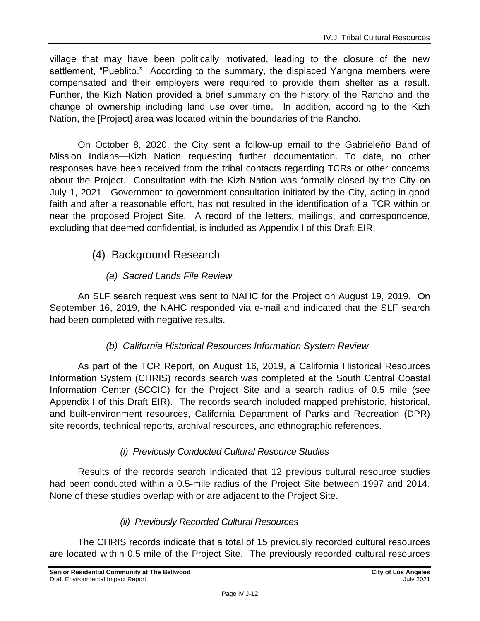village that may have been politically motivated, leading to the closure of the new settlement, "Pueblito." According to the summary, the displaced Yangna members were compensated and their employers were required to provide them shelter as a result. Further, the Kizh Nation provided a brief summary on the history of the Rancho and the change of ownership including land use over time. In addition, according to the Kizh Nation, the [Project] area was located within the boundaries of the Rancho.

On October 8, 2020, the City sent a follow-up email to the Gabrieleño Band of Mission Indians—Kizh Nation requesting further documentation. To date, no other responses have been received from the tribal contacts regarding TCRs or other concerns about the Project. Consultation with the Kizh Nation was formally closed by the City on July 1, 2021. Government to government consultation initiated by the City, acting in good faith and after a reasonable effort, has not resulted in the identification of a TCR within or near the proposed Project Site. A record of the letters, mailings, and correspondence, excluding that deemed confidential, is included as Appendix I of this Draft EIR.

## (4) Background Research

#### *(a) Sacred Lands File Review*

An SLF search request was sent to NAHC for the Project on August 19, 2019. On September 16, 2019, the NAHC responded via e-mail and indicated that the SLF search had been completed with negative results.

#### *(b) California Historical Resources Information System Review*

As part of the TCR Report, on August 16, 2019, a California Historical Resources Information System (CHRIS) records search was completed at the South Central Coastal Information Center (SCCIC) for the Project Site and a search radius of 0.5 mile (see Appendix I of this Draft EIR). The records search included mapped prehistoric, historical, and built-environment resources, California Department of Parks and Recreation (DPR) site records, technical reports, archival resources, and ethnographic references.

#### *(i) Previously Conducted Cultural Resource Studies*

Results of the records search indicated that 12 previous cultural resource studies had been conducted within a 0.5-mile radius of the Project Site between 1997 and 2014. None of these studies overlap with or are adjacent to the Project Site.

#### *(ii) Previously Recorded Cultural Resources*

The CHRIS records indicate that a total of 15 previously recorded cultural resources are located within 0.5 mile of the Project Site. The previously recorded cultural resources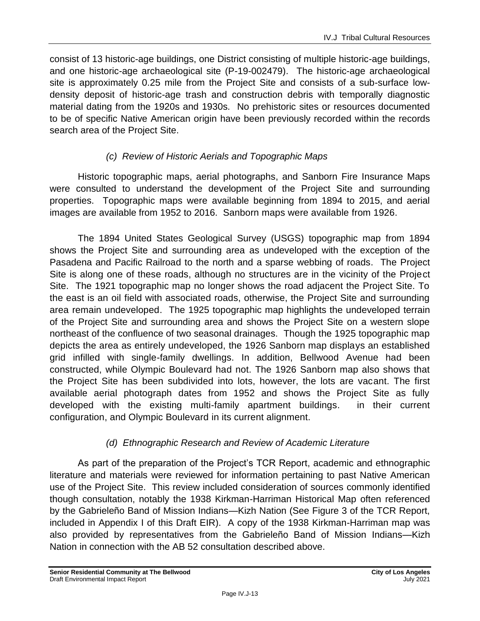consist of 13 historic-age buildings, one District consisting of multiple historic-age buildings, and one historic-age archaeological site (P-19-002479). The historic-age archaeological site is approximately 0.25 mile from the Project Site and consists of a sub-surface lowdensity deposit of historic-age trash and construction debris with temporally diagnostic material dating from the 1920s and 1930s. No prehistoric sites or resources documented to be of specific Native American origin have been previously recorded within the records search area of the Project Site.

#### *(c) Review of Historic Aerials and Topographic Maps*

Historic topographic maps, aerial photographs, and Sanborn Fire Insurance Maps were consulted to understand the development of the Project Site and surrounding properties. Topographic maps were available beginning from 1894 to 2015, and aerial images are available from 1952 to 2016. Sanborn maps were available from 1926.

The 1894 United States Geological Survey (USGS) topographic map from 1894 shows the Project Site and surrounding area as undeveloped with the exception of the Pasadena and Pacific Railroad to the north and a sparse webbing of roads. The Project Site is along one of these roads, although no structures are in the vicinity of the Project Site. The 1921 topographic map no longer shows the road adjacent the Project Site. To the east is an oil field with associated roads, otherwise, the Project Site and surrounding area remain undeveloped. The 1925 topographic map highlights the undeveloped terrain of the Project Site and surrounding area and shows the Project Site on a western slope northeast of the confluence of two seasonal drainages. Though the 1925 topographic map depicts the area as entirely undeveloped, the 1926 Sanborn map displays an established grid infilled with single-family dwellings. In addition, Bellwood Avenue had been constructed, while Olympic Boulevard had not. The 1926 Sanborn map also shows that the Project Site has been subdivided into lots, however, the lots are vacant. The first available aerial photograph dates from 1952 and shows the Project Site as fully developed with the existing multi-family apartment buildings. in their current configuration, and Olympic Boulevard in its current alignment.

#### *(d) Ethnographic Research and Review of Academic Literature*

As part of the preparation of the Project's TCR Report, academic and ethnographic literature and materials were reviewed for information pertaining to past Native American use of the Project Site. This review included consideration of sources commonly identified though consultation, notably the 1938 Kirkman-Harriman Historical Map often referenced by the Gabrieleño Band of Mission Indians—Kizh Nation (See Figure 3 of the TCR Report, included in Appendix I of this Draft EIR). A copy of the 1938 Kirkman-Harriman map was also provided by representatives from the Gabrieleño Band of Mission Indians—Kizh Nation in connection with the AB 52 consultation described above.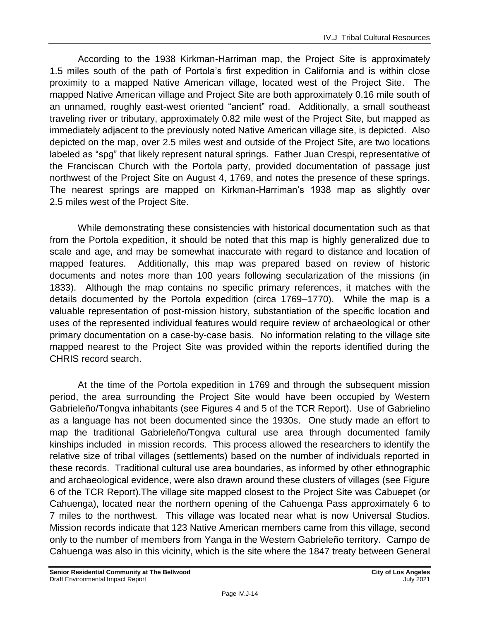According to the 1938 Kirkman-Harriman map, the Project Site is approximately 1.5 miles south of the path of Portola's first expedition in California and is within close proximity to a mapped Native American village, located west of the Project Site. The mapped Native American village and Project Site are both approximately 0.16 mile south of an unnamed, roughly east-west oriented "ancient" road. Additionally, a small southeast traveling river or tributary, approximately 0.82 mile west of the Project Site, but mapped as immediately adjacent to the previously noted Native American village site, is depicted. Also depicted on the map, over 2.5 miles west and outside of the Project Site, are two locations labeled as "spg" that likely represent natural springs. Father Juan Crespi, representative of the Franciscan Church with the Portola party, provided documentation of passage just northwest of the Project Site on August 4, 1769, and notes the presence of these springs. The nearest springs are mapped on Kirkman-Harriman's 1938 map as slightly over 2.5 miles west of the Project Site.

While demonstrating these consistencies with historical documentation such as that from the Portola expedition, it should be noted that this map is highly generalized due to scale and age, and may be somewhat inaccurate with regard to distance and location of mapped features. Additionally, this map was prepared based on review of historic documents and notes more than 100 years following secularization of the missions (in 1833). Although the map contains no specific primary references, it matches with the details documented by the Portola expedition (circa 1769–1770). While the map is a valuable representation of post-mission history, substantiation of the specific location and uses of the represented individual features would require review of archaeological or other primary documentation on a case-by-case basis. No information relating to the village site mapped nearest to the Project Site was provided within the reports identified during the CHRIS record search.

At the time of the Portola expedition in 1769 and through the subsequent mission period, the area surrounding the Project Site would have been occupied by Western Gabrieleño/Tongva inhabitants (see Figures 4 and 5 of the TCR Report). Use of Gabrielino as a language has not been documented since the 1930s. One study made an effort to map the traditional Gabrieleño/Tongva cultural use area through documented family kinships included in mission records. This process allowed the researchers to identify the relative size of tribal villages (settlements) based on the number of individuals reported in these records. Traditional cultural use area boundaries, as informed by other ethnographic and archaeological evidence, were also drawn around these clusters of villages (see Figure 6 of the TCR Report).The village site mapped closest to the Project Site was Cabuepet (or Cahuenga), located near the northern opening of the Cahuenga Pass approximately 6 to 7 miles to the northwest. This village was located near what is now Universal Studios. Mission records indicate that 123 Native American members came from this village, second only to the number of members from Yanga in the Western Gabrieleño territory. Campo de Cahuenga was also in this vicinity, which is the site where the 1847 treaty between General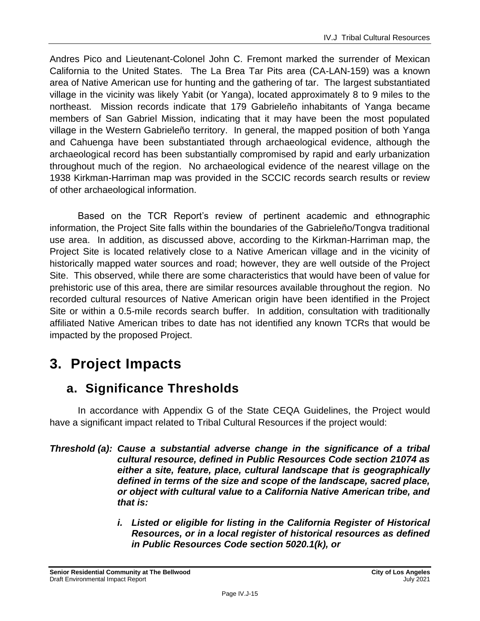Andres Pico and Lieutenant-Colonel John C. Fremont marked the surrender of Mexican California to the United States. The La Brea Tar Pits area (CA-LAN-159) was a known area of Native American use for hunting and the gathering of tar. The largest substantiated village in the vicinity was likely Yabit (or Yanga), located approximately 8 to 9 miles to the northeast. Mission records indicate that 179 Gabrieleño inhabitants of Yanga became members of San Gabriel Mission, indicating that it may have been the most populated village in the Western Gabrieleño territory. In general, the mapped position of both Yanga and Cahuenga have been substantiated through archaeological evidence, although the archaeological record has been substantially compromised by rapid and early urbanization throughout much of the region. No archaeological evidence of the nearest village on the 1938 Kirkman-Harriman map was provided in the SCCIC records search results or review of other archaeological information.

Based on the TCR Report's review of pertinent academic and ethnographic information, the Project Site falls within the boundaries of the Gabrieleño/Tongva traditional use area. In addition, as discussed above, according to the Kirkman-Harriman map, the Project Site is located relatively close to a Native American village and in the vicinity of historically mapped water sources and road; however, they are well outside of the Project Site. This observed, while there are some characteristics that would have been of value for prehistoric use of this area, there are similar resources available throughout the region. No recorded cultural resources of Native American origin have been identified in the Project Site or within a 0.5-mile records search buffer. In addition, consultation with traditionally affiliated Native American tribes to date has not identified any known TCRs that would be impacted by the proposed Project.

# **3. Project Impacts**

# **a. Significance Thresholds**

In accordance with Appendix G of the State CEQA Guidelines, the Project would have a significant impact related to Tribal Cultural Resources if the project would:

*Threshold (a): Cause a substantial adverse change in the significance of a tribal cultural resource, defined in Public Resources Code section 21074 as either a site, feature, place, cultural landscape that is geographically defined in terms of the size and scope of the landscape, sacred place, or object with cultural value to a California Native American tribe, and that is:*

> *i. Listed or eligible for listing in the California Register of Historical Resources, or in a local register of historical resources as defined in Public Resources Code section 5020.1(k), or*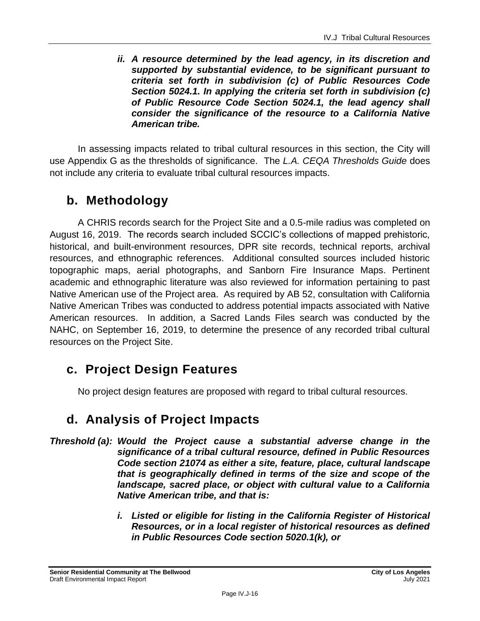*ii. A resource determined by the lead agency, in its discretion and supported by substantial evidence, to be significant pursuant to criteria set forth in subdivision (c) of Public Resources Code Section 5024.1. In applying the criteria set forth in subdivision (c) of Public Resource Code Section 5024.1, the lead agency shall consider the significance of the resource to a California Native American tribe.*

In assessing impacts related to tribal cultural resources in this section, the City will use Appendix G as the thresholds of significance. The *L.A. CEQA Thresholds Guide* does not include any criteria to evaluate tribal cultural resources impacts.

# **b. Methodology**

A CHRIS records search for the Project Site and a 0.5-mile radius was completed on August 16, 2019. The records search included SCCIC's collections of mapped prehistoric, historical, and built-environment resources, DPR site records, technical reports, archival resources, and ethnographic references. Additional consulted sources included historic topographic maps, aerial photographs, and Sanborn Fire Insurance Maps. Pertinent academic and ethnographic literature was also reviewed for information pertaining to past Native American use of the Project area. As required by AB 52, consultation with California Native American Tribes was conducted to address potential impacts associated with Native American resources. In addition, a Sacred Lands Files search was conducted by the NAHC, on September 16, 2019, to determine the presence of any recorded tribal cultural resources on the Project Site.

# **c. Project Design Features**

No project design features are proposed with regard to tribal cultural resources.

# **d. Analysis of Project Impacts**

- *Threshold (a): Would the Project cause a substantial adverse change in the significance of a tribal cultural resource, defined in Public Resources Code section 21074 as either a site, feature, place, cultural landscape that is geographically defined in terms of the size and scope of the landscape, sacred place, or object with cultural value to a California Native American tribe, and that is:*
	- *i. Listed or eligible for listing in the California Register of Historical Resources, or in a local register of historical resources as defined in Public Resources Code section 5020.1(k), or*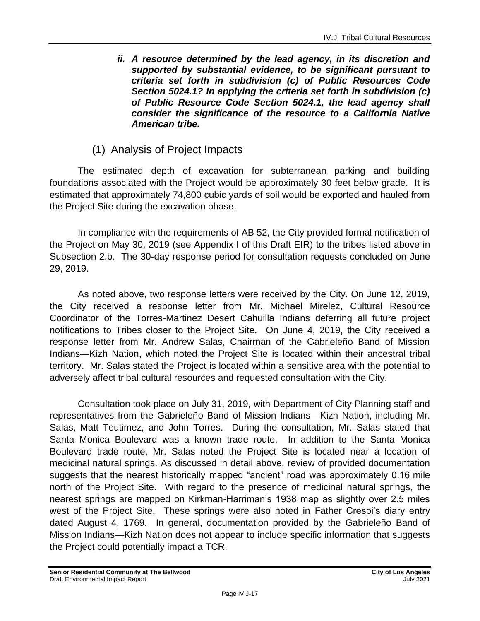*ii. A resource determined by the lead agency, in its discretion and supported by substantial evidence, to be significant pursuant to criteria set forth in subdivision (c) of Public Resources Code Section 5024.1? In applying the criteria set forth in subdivision (c) of Public Resource Code Section 5024.1, the lead agency shall consider the significance of the resource to a California Native American tribe.*

### (1) Analysis of Project Impacts

The estimated depth of excavation for subterranean parking and building foundations associated with the Project would be approximately 30 feet below grade. It is estimated that approximately 74,800 cubic yards of soil would be exported and hauled from the Project Site during the excavation phase.

In compliance with the requirements of AB 52, the City provided formal notification of the Project on May 30, 2019 (see Appendix I of this Draft EIR) to the tribes listed above in Subsection 2.b. The 30-day response period for consultation requests concluded on June 29, 2019.

As noted above, two response letters were received by the City. On June 12, 2019, the City received a response letter from Mr. Michael Mirelez, Cultural Resource Coordinator of the Torres-Martinez Desert Cahuilla Indians deferring all future project notifications to Tribes closer to the Project Site. On June 4, 2019, the City received a response letter from Mr. Andrew Salas, Chairman of the Gabrieleño Band of Mission Indians—Kizh Nation, which noted the Project Site is located within their ancestral tribal territory. Mr. Salas stated the Project is located within a sensitive area with the potential to adversely affect tribal cultural resources and requested consultation with the City.

Consultation took place on July 31, 2019, with Department of City Planning staff and representatives from the Gabrieleño Band of Mission Indians—Kizh Nation, including Mr. Salas, Matt Teutimez, and John Torres. During the consultation, Mr. Salas stated that Santa Monica Boulevard was a known trade route. In addition to the Santa Monica Boulevard trade route, Mr. Salas noted the Project Site is located near a location of medicinal natural springs. As discussed in detail above, review of provided documentation suggests that the nearest historically mapped "ancient" road was approximately 0.16 mile north of the Project Site. With regard to the presence of medicinal natural springs, the nearest springs are mapped on Kirkman-Harriman's 1938 map as slightly over 2.5 miles west of the Project Site. These springs were also noted in Father Crespi's diary entry dated August 4, 1769. In general, documentation provided by the Gabrieleño Band of Mission Indians—Kizh Nation does not appear to include specific information that suggests the Project could potentially impact a TCR.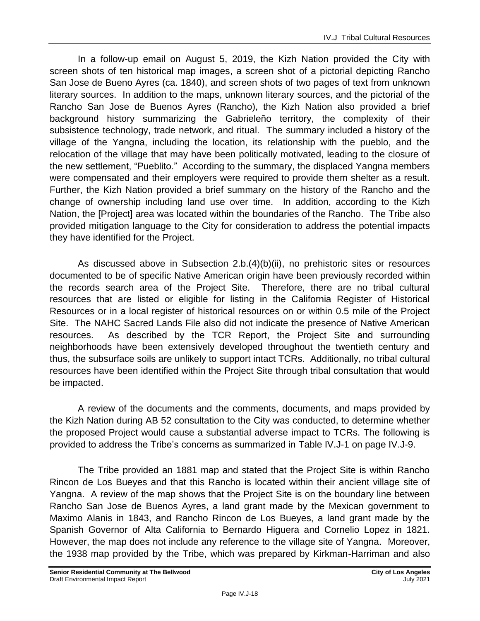In a follow-up email on August 5, 2019, the Kizh Nation provided the City with screen shots of ten historical map images, a screen shot of a pictorial depicting Rancho San Jose de Bueno Ayres (ca. 1840), and screen shots of two pages of text from unknown literary sources. In addition to the maps, unknown literary sources, and the pictorial of the Rancho San Jose de Buenos Ayres (Rancho), the Kizh Nation also provided a brief background history summarizing the Gabrieleño territory, the complexity of their subsistence technology, trade network, and ritual. The summary included a history of the village of the Yangna, including the location, its relationship with the pueblo, and the relocation of the village that may have been politically motivated, leading to the closure of the new settlement, "Pueblito." According to the summary, the displaced Yangna members were compensated and their employers were required to provide them shelter as a result. Further, the Kizh Nation provided a brief summary on the history of the Rancho and the change of ownership including land use over time. In addition, according to the Kizh Nation, the [Project] area was located within the boundaries of the Rancho. The Tribe also provided mitigation language to the City for consideration to address the potential impacts they have identified for the Project.

As discussed above in Subsection 2.b.(4)(b)(ii), no prehistoric sites or resources documented to be of specific Native American origin have been previously recorded within the records search area of the Project Site. Therefore, there are no tribal cultural resources that are listed or eligible for listing in the California Register of Historical Resources or in a local register of historical resources on or within 0.5 mile of the Project Site. The NAHC Sacred Lands File also did not indicate the presence of Native American resources. As described by the TCR Report, the Project Site and surrounding neighborhoods have been extensively developed throughout the twentieth century and thus, the subsurface soils are unlikely to support intact TCRs. Additionally, no tribal cultural resources have been identified within the Project Site through tribal consultation that would be impacted.

A review of the documents and the comments, documents, and maps provided by the Kizh Nation during AB 52 consultation to the City was conducted, to determine whether the proposed Project would cause a substantial adverse impact to TCRs. The following is provided to address the Tribe's concerns as summarized in Table IV.J-1 on page IV.J-9.

The Tribe provided an 1881 map and stated that the Project Site is within Rancho Rincon de Los Bueyes and that this Rancho is located within their ancient village site of Yangna. A review of the map shows that the Project Site is on the boundary line between Rancho San Jose de Buenos Ayres, a land grant made by the Mexican government to Maximo Alanis in 1843, and Rancho Rincon de Los Bueyes, a land grant made by the Spanish Governor of Alta California to Bernardo Higuera and Cornelio Lopez in 1821. However, the map does not include any reference to the village site of Yangna. Moreover, the 1938 map provided by the Tribe, which was prepared by Kirkman-Harriman and also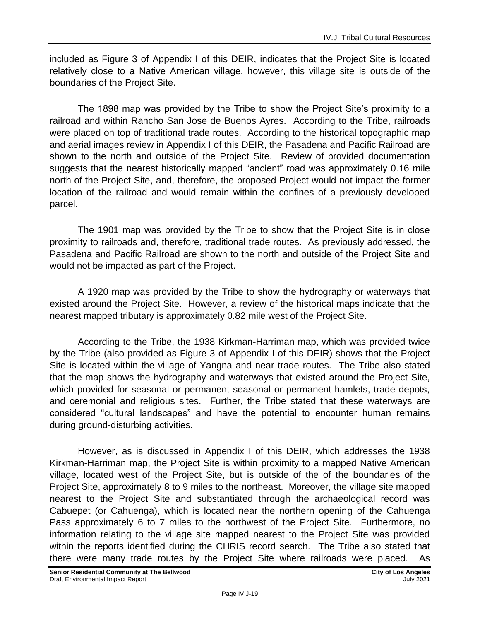included as Figure 3 of Appendix I of this DEIR, indicates that the Project Site is located relatively close to a Native American village, however, this village site is outside of the boundaries of the Project Site.

The 1898 map was provided by the Tribe to show the Project Site's proximity to a railroad and within Rancho San Jose de Buenos Ayres. According to the Tribe, railroads were placed on top of traditional trade routes. According to the historical topographic map and aerial images review in Appendix I of this DEIR, the Pasadena and Pacific Railroad are shown to the north and outside of the Project Site. Review of provided documentation suggests that the nearest historically mapped "ancient" road was approximately 0.16 mile north of the Project Site, and, therefore, the proposed Project would not impact the former location of the railroad and would remain within the confines of a previously developed parcel.

The 1901 map was provided by the Tribe to show that the Project Site is in close proximity to railroads and, therefore, traditional trade routes. As previously addressed, the Pasadena and Pacific Railroad are shown to the north and outside of the Project Site and would not be impacted as part of the Project.

A 1920 map was provided by the Tribe to show the hydrography or waterways that existed around the Project Site. However, a review of the historical maps indicate that the nearest mapped tributary is approximately 0.82 mile west of the Project Site.

According to the Tribe, the 1938 Kirkman-Harriman map, which was provided twice by the Tribe (also provided as Figure 3 of Appendix I of this DEIR) shows that the Project Site is located within the village of Yangna and near trade routes. The Tribe also stated that the map shows the hydrography and waterways that existed around the Project Site, which provided for seasonal or permanent seasonal or permanent hamlets, trade depots, and ceremonial and religious sites. Further, the Tribe stated that these waterways are considered "cultural landscapes" and have the potential to encounter human remains during ground-disturbing activities.

However, as is discussed in Appendix I of this DEIR, which addresses the 1938 Kirkman-Harriman map, the Project Site is within proximity to a mapped Native American village, located west of the Project Site, but is outside of the of the boundaries of the Project Site, approximately 8 to 9 miles to the northeast. Moreover, the village site mapped nearest to the Project Site and substantiated through the archaeological record was Cabuepet (or Cahuenga), which is located near the northern opening of the Cahuenga Pass approximately 6 to 7 miles to the northwest of the Project Site. Furthermore, no information relating to the village site mapped nearest to the Project Site was provided within the reports identified during the CHRIS record search. The Tribe also stated that there were many trade routes by the Project Site where railroads were placed. As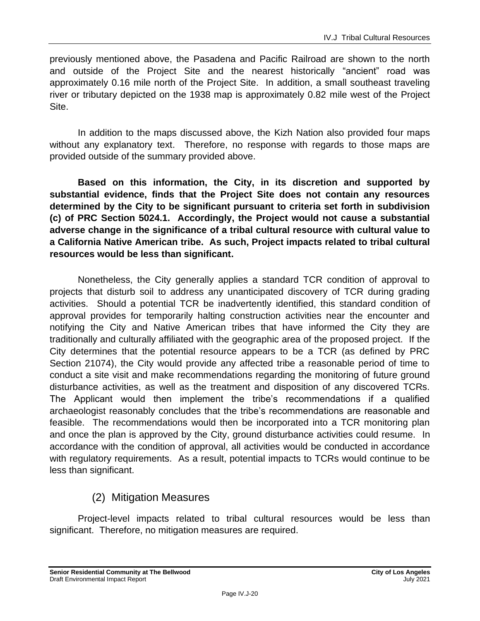previously mentioned above, the Pasadena and Pacific Railroad are shown to the north and outside of the Project Site and the nearest historically "ancient" road was approximately 0.16 mile north of the Project Site. In addition, a small southeast traveling river or tributary depicted on the 1938 map is approximately 0.82 mile west of the Project Site.

In addition to the maps discussed above, the Kizh Nation also provided four maps without any explanatory text. Therefore, no response with regards to those maps are provided outside of the summary provided above.

**Based on this information, the City, in its discretion and supported by substantial evidence, finds that the Project Site does not contain any resources determined by the City to be significant pursuant to criteria set forth in subdivision (c) of PRC Section 5024.1. Accordingly, the Project would not cause a substantial adverse change in the significance of a tribal cultural resource with cultural value to a California Native American tribe. As such, Project impacts related to tribal cultural resources would be less than significant.**

Nonetheless, the City generally applies a standard TCR condition of approval to projects that disturb soil to address any unanticipated discovery of TCR during grading activities. Should a potential TCR be inadvertently identified, this standard condition of approval provides for temporarily halting construction activities near the encounter and notifying the City and Native American tribes that have informed the City they are traditionally and culturally affiliated with the geographic area of the proposed project. If the City determines that the potential resource appears to be a TCR (as defined by PRC Section 21074), the City would provide any affected tribe a reasonable period of time to conduct a site visit and make recommendations regarding the monitoring of future ground disturbance activities, as well as the treatment and disposition of any discovered TCRs. The Applicant would then implement the tribe's recommendations if a qualified archaeologist reasonably concludes that the tribe's recommendations are reasonable and feasible. The recommendations would then be incorporated into a TCR monitoring plan and once the plan is approved by the City, ground disturbance activities could resume. In accordance with the condition of approval, all activities would be conducted in accordance with regulatory requirements. As a result, potential impacts to TCRs would continue to be less than significant.

### (2) Mitigation Measures

Project-level impacts related to tribal cultural resources would be less than significant. Therefore, no mitigation measures are required.